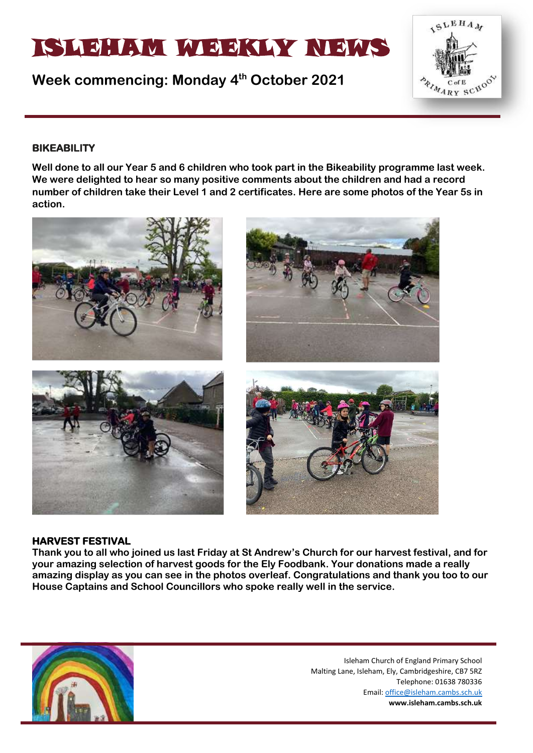# ISLEHAM MEEKLY NEWS

**Week commencing: Monday 4 th October 2021**



### **BIKEABILITY**

**Well done to all our Year 5 and 6 children who took part in the Bikeability programme last week. We were delighted to hear so many positive comments about the children and had a record number of children take their Level 1 and 2 certificates. Here are some photos of the Year 5s in action.**



#### **HARVEST FESTIVAL**

**Thank you to all who joined us last Friday at St Andrew's Church for our harvest festival, and for your amazing selection of harvest goods for the Ely Foodbank. Your donations made a really amazing display as you can see in the photos overleaf. Congratulations and thank you too to our House Captains and School Councillors who spoke really well in the service.**

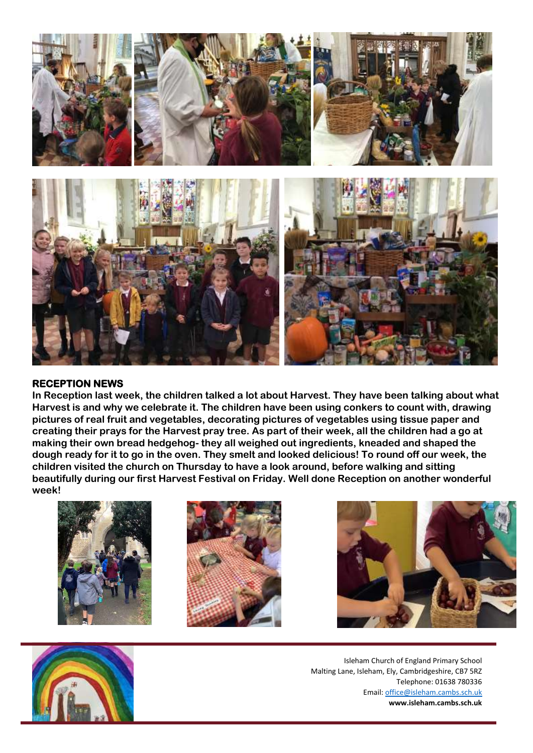

#### **RECEPTION NEWS**

**In Reception last week, the children talked a lot about Harvest. They have been talking about what Harvest is and why we celebrate it. The children have been using conkers to count with, drawing pictures of real fruit and vegetables, decorating pictures of vegetables using tissue paper and creating their prays for the Harvest pray tree. As part of their week, all the children had a go at making their own bread hedgehog- they all weighed out ingredients, kneaded and shaped the dough ready for it to go in the oven. They smelt and looked delicious! To round off our week, the children visited the church on Thursday to have a look around, before walking and sitting beautifully during our first Harvest Festival on Friday. Well done Reception on another wonderful week!** 







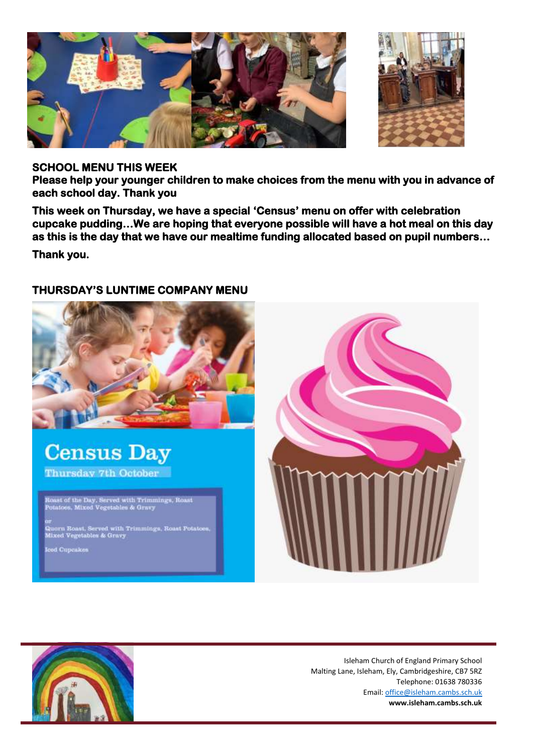

#### **SCHOOL MENU THIS WEEK**

**Please help your younger children to make choices from the menu with you in advance of each school day. Thank you** 

**This week on Thursday, we have a special 'Census' menu on offer with celebration cupcake pudding…We are hoping that everyone possible will have a hot meal on this day as this is the day that we have our mealtime funding allocated based on pupil numbers…** 

**Thank you.** 

## **THURSDAY'S LUNTIME COMPANY MENU**



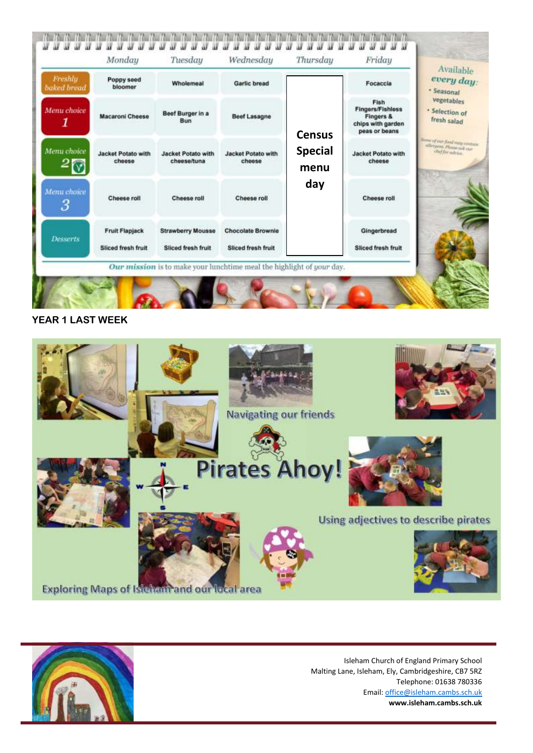

#### **YEAR 1 LAST WEEK**